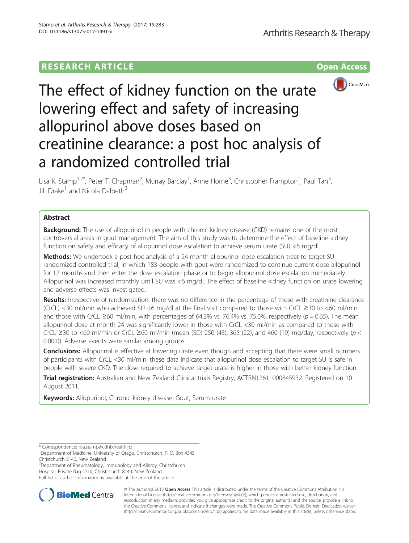## **RESEARCH ARTICLE Example 2014 CONSIDERING A RESEARCH ARTICLE**



# The effect of kidney function on the urate lowering effect and safety of increasing allopurinol above doses based on creatinine clearance: a post hoc analysis of a randomized controlled trial

Lisa K. Stamp<sup>1,2\*</sup>, Peter T. Chapman<sup>2</sup>, Murray Barclay<sup>1</sup>, Anne Horne<sup>3</sup>, Christopher Frampton<sup>1</sup>, Paul Tan<sup>3</sup> , Jill Drake<sup>1</sup> and Nicola Dalbeth<sup>3</sup>

## Abstract

**Background:** The use of allopurinol in people with chronic kidney disease (CKD) remains one of the most controversial areas in gout management. The aim of this study was to determine the effect of baseline kidney function on safety and efficacy of allopurinol dose escalation to achieve serum urate (SU) <6 mg/dl.

Methods: We undertook a post hoc analysis of a 24-month allopurinol dose escalation treat-to-target SU randomized controlled trial, in which 183 people with gout were randomized to continue current dose allopurinol for 12 months and then enter the dose escalation phase or to begin allopurinol dose escalation immediately. Allopurinol was increased monthly until SU was <6 mg/dl. The effect of baseline kidney function on urate lowering and adverse effects was investigated.

Results: Irrespective of randomization, there was no difference in the percentage of those with creatinine clearance (CrCL) <30 ml/min who achieved SU <6 mg/dl at the final visit compared to those with CrCL ≥30 to <60 ml/min and those with CrCL ≥60 ml/min, with percentages of 64.3% vs. 76.4% vs. 75.0%, respectively ( $p = 0.65$ ). The mean allopurinol dose at month 24 was significantly lower in those with CrCL <30 ml/min as compared to those with CrCL ≥30 to <60 ml/min or CrCL ≥60 ml/min (mean (SD) 250 (43), 365 (22), and 460 (19) mg/day, respectively ( $p$  < 0.001)). Adverse events were similar among groups.

**Conclusions:** Allopurinol is effective at lowering urate even though and accepting that there were small numbers of participants with CrCL <30 ml/min, these data indicate that allopurinol dose escalation to target SU is safe in people with severe CKD. The dose required to achieve target urate is higher in those with better kidney function.

Trial registration: Australian and New Zealand Clinical trials Registry, [ACTRN12611000845932.](https://www.anzctr.org.au/Trial/Registration/TrialReview.aspx?id=343257) Registered on 10 August 2011.

Keywords: Allopurinol, Chronic kidney disease, Gout, Serum urate

<sup>2</sup>Department of Rheumatology, Immunology and Allergy, Christchurch

Hospital, Private Bag 4710, Christchurch 8140, New Zealand

Full list of author information is available at the end of the article



© The Author(s). 2017 **Open Access** This article is distributed under the terms of the Creative Commons Attribution 4.0 International License [\(http://creativecommons.org/licenses/by/4.0/](http://creativecommons.org/licenses/by/4.0/)), which permits unrestricted use, distribution, and reproduction in any medium, provided you give appropriate credit to the original author(s) and the source, provide a link to the Creative Commons license, and indicate if changes were made. The Creative Commons Public Domain Dedication waiver [\(http://creativecommons.org/publicdomain/zero/1.0/](http://creativecommons.org/publicdomain/zero/1.0/)) applies to the data made available in this article, unless otherwise stated.

<sup>\*</sup> Correspondence: [lisa.stamp@cdhb.health.nz](mailto:lisa.stamp@cdhb.health.nz) <sup>1</sup>

<sup>&</sup>lt;sup>1</sup>Department of Medicine, University of Otago, Christchurch, P. O. Box 4345, Christchurch 8140, New Zealand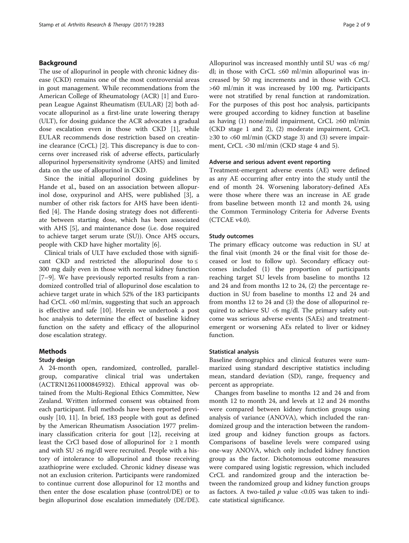## Background

The use of allopurinol in people with chronic kidney disease (CKD) remains one of the most controversial areas in gout management. While recommendations from the American College of Rheumatology (ACR) [\[1\]](#page-8-0) and European League Against Rheumatism (EULAR) [\[2](#page-8-0)] both advocate allopurinol as a first-line urate lowering therapy (ULT), for dosing guidance the ACR advocates a gradual dose escalation even in those with CKD [\[1\]](#page-8-0), while EULAR recommends dose restriction based on creatinine clearance (CrCL) [\[2](#page-8-0)]. This discrepancy is due to concerns over increased risk of adverse effects, particularly allopurinol hypersensitivity syndrome (AHS) and limited data on the use of allopurinol in CKD.

Since the initial allopurinol dosing guidelines by Hande et al., based on an association between allopurinol dose, oxypurinol and AHS, were published [[3\]](#page-8-0), a number of other risk factors for AHS have been identified [[4\]](#page-8-0). The Hande dosing strategy does not differentiate between starting dose, which has been associated with AHS [[5\]](#page-8-0), and maintenance dose (i.e. dose required to achieve target serum urate (SU)). Once AHS occurs, people with CKD have higher mortality [\[6](#page-8-0)].

Clinical trials of ULT have excluded those with significant CKD and restricted the allopurinol dose to  $\leq$ 300 mg daily even in those with normal kidney function [[7](#page-8-0)–[9\]](#page-8-0). We have previously reported results from a randomized controlled trial of allopurinol dose escalation to achieve target urate in which 52% of the 183 participants had CrCL <60 ml/min, suggesting that such an approach is effective and safe [[10\]](#page-8-0). Herein we undertook a post hoc analysis to determine the effect of baseline kidney function on the safety and efficacy of the allopurinol dose escalation strategy.

## **Methods**

## Study design

A 24-month open, randomized, controlled, parallelgroup, comparative clinical trial was undertaken (ACTRN12611000845932). Ethical approval was obtained from the Multi-Regional Ethics Committee, New Zealand. Written informed consent was obtained from each participant. Full methods have been reported previously [[10, 11](#page-8-0)]. In brief, 183 people with gout as defined by the American Rheumatism Association 1977 preliminary classification criteria for gout [[12\]](#page-8-0), receiving at least the CrCl based dose of allopurinol for  $\geq 1$  month and with  $SU \ge 6$  mg/dl were recruited. People with a history of intolerance to allopurinol and those receiving azathioprine were excluded. Chronic kidney disease was not an exclusion criterion. Participants were randomized to continue current dose allopurinol for 12 months and then enter the dose escalation phase (control/DE) or to begin allopurinol dose escalation immediately (DE/DE). Allopurinol was increased monthly until SU was <6 mg/ dl; in those with CrCL ≤60 ml/min allopurinol was increased by 50 mg increments and in those with CrCL >60 ml/min it was increased by 100 mg. Participants were not stratified by renal function at randomization. For the purposes of this post hoc analysis, participants were grouped according to kidney function at baseline as having (1) none/mild impairment, CrCL  $\geq 60$  ml/min (CKD stage 1 and 2), (2) moderate impairment, CrCL  $\geq$ 30 to <60 ml/min (CKD stage 3) and (3) severe impairment, CrCL <30 ml/min (CKD stage 4 and 5).

#### Adverse and serious advent event reporting

Treatment-emergent adverse events (AE) were defined as any AE occurring after entry into the study until the end of month 24. Worsening laboratory-defined AEs were those where there was an increase in AE grade from baseline between month 12 and month 24, using the Common Terminology Criteria for Adverse Events (CTCAE v4.0).

## Study outcomes

The primary efficacy outcome was reduction in SU at the final visit (month 24 or the final visit for those deceased or lost to follow up). Secondary efficacy outcomes included (1) the proportion of participants reaching target SU levels from baseline to months 12 and 24 and from months 12 to 24, (2) the percentage reduction in SU from baseline to months 12 and 24 and from months 12 to 24 and (3) the dose of allopurinol required to achieve SU <6 mg/dl. The primary safety outcome was serious adverse events (SAEs) and treatmentemergent or worsening AEs related to liver or kidney function.

## Statistical analysis

Baseline demographics and clinical features were summarized using standard descriptive statistics including mean, standard deviation (SD), range, frequency and percent as appropriate.

Changes from baseline to months 12 and 24 and from month 12 to month 24, and levels at 12 and 24 months were compared between kidney function groups using analysis of variance (ANOVA), which included the randomized group and the interaction between the randomized group and kidney function groups as factors. Comparisons of baseline levels were compared using one-way ANOVA, which only included kidney function group as the factor. Dichotomous outcome measures were compared using logistic regression, which included CrCL and randomized group and the interaction between the randomized group and kidney function groups as factors. A two-tailed  $p$  value <0.05 was taken to indicate statistical significance.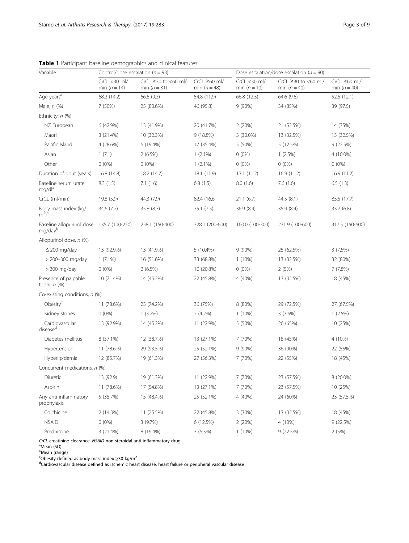| Variable                                              | Control/dose escalation ( $n = 93$ ) |                                             |                                       | Dose escalation/dose escalation ( $n = 90$ ) |                                               |                                     |  |
|-------------------------------------------------------|--------------------------------------|---------------------------------------------|---------------------------------------|----------------------------------------------|-----------------------------------------------|-------------------------------------|--|
|                                                       | $CrCL < 30$ ml/<br>min ( $n = 14$ )  | CrCL $\geq$ 30 to <60 ml/<br>min $(n = 31)$ | $CrCL \ge 60$ ml/<br>min ( $n = 48$ ) | $CrCL < 30$ ml/<br>min $(n = 10)$            | CrCL $\geq$ 30 to <60 ml/<br>min ( $n = 40$ ) | $CrCL \ge 60$ ml/<br>min $(n = 40)$ |  |
| Age years <sup>a</sup>                                | 68.2 (14.2)                          | 66.6 (9.3)                                  | 54.8 (11.9)                           | 66.8 (12.5)                                  | 64.6 (9.6)                                    | 52.5 (12.1)                         |  |
| Male, n (%)                                           | 7 (50%)                              | 25 (80.6%)                                  | 46 (95.8)                             | 9 (90%)                                      | 34 (85%)                                      | 39 (97.5)                           |  |
| Ethnicity, $n$ (%)                                    |                                      |                                             |                                       |                                              |                                               |                                     |  |
| NZ European                                           | 6 (42.9%)                            | 13 (41.9%)                                  | 20 (41.7%)                            | 2 (20%)                                      | 21 (52.5%)                                    | 14 (35%)                            |  |
| Maori                                                 | 3 (21.4%)                            | 10 (32.3%)                                  | 9(18.8%)                              | 3 (30.0%)                                    | 13 (32.5%)                                    | 13 (32.5%)                          |  |
| Pacific Island                                        | 4 (28.6%)                            | 6 (19.4%)                                   | 17 (35.4%)                            | 5 (50%)                                      | 5 (12.5%)                                     | 9(22.5%)                            |  |
| Asian                                                 | 1(7.1)                               | 2(6.5%)                                     | $1(2.1\%)$                            | $0(0\%)$                                     | 1(2.5%)                                       | 4 (10.0%)                           |  |
| Other                                                 | $0(0\%)$                             | $0(0\%)$                                    | $1(2.1\%)$                            | $0(0\%)$                                     | $0(0\%)$                                      | $0(0\%)$                            |  |
| Duration of gout (years)                              | 16.8 (14.8)                          | 18.2 (14.7)                                 | 18.1 (11.9)                           | 13.1(11.2)                                   | 16.9 (11.2)                                   | 16.9(11.2)                          |  |
| Baseline serum urate<br>mg/dl <sup>a</sup>            | 8.3(1.5)                             | 7.1(1.6)                                    | 6.8(1.5)                              | 8.0(1.6)                                     | 7.6(1.6)                                      | 6.5(1.3)                            |  |
| CrCL (ml/min)                                         | 19.8 (5.9)                           | 44.3 (7.9)                                  | 82.4 (16.6)                           | 21.1(6.7)                                    | 44.5(8.1)                                     | 85.5 (17.7)                         |  |
| Body mass index (kg/<br>m <sup>2</sup> ) <sup>a</sup> | 34.6 (7.2)                           | 35.8 (8.3)                                  | 35.1(7.5)                             | 36.9 (8.4)                                   | 35.9 (8.4)                                    | 33.7 (6.8)                          |  |
| Baseline allopurinol dose<br>mg/dayb                  | 135.7 (100-250)                      | 258.1 (150-400)                             | 328.1 (200-600)                       | 160.0 (100-300)                              | 231.9 (100-600)                               | 317.5 (150-600)                     |  |
| Allopurinol dose, n (%)                               |                                      |                                             |                                       |                                              |                                               |                                     |  |
| $\leq$ 200 mg/day                                     | 13 (92.9%)                           | 13 (41.9%)                                  | $5(10.4\%)$                           | $9(90\%)$                                    | 25 (62.5%)                                    | 3(7.5%)                             |  |
| > 200-300 mg/day                                      | $1(7.1\%)$                           | 16 (51.6%)                                  | 33 (68.8%)                            | $1(10\%)$                                    | 13 (32.5%)                                    | 32 (80%)                            |  |
| > 300 mg/day                                          | $0(0\%)$                             | 2(6.5%)                                     | 10 (20.8%)                            | $0(0\%)$                                     | 2(5%)                                         | 7(7.8%)                             |  |
| Presence of palpable<br>tophi, $n$ $(\%)$             | 10 (71.4%)                           | 14 (45.2%)                                  | 22 (45.8%)                            | 4 (40%)                                      | 13 (32.5%)                                    | 18 (45%)                            |  |
| Co-existing conditions, n (%)                         |                                      |                                             |                                       |                                              |                                               |                                     |  |
| Obesity <sup>c</sup>                                  | 11 (78.6%)                           | 23 (74.2%)                                  | 36 (75%)                              | 8 (80%)                                      | 29 (72.5%)                                    | 27 (67.5%)                          |  |
| Kidney stones                                         | $0(0\%)$                             | $1(3.2\%)$                                  | $2(4.2\%)$                            | $1(10\%)$                                    | 3(7.5%)                                       | 1(2.5%)                             |  |
| Cardiovascular<br>disease <sup>d</sup>                | 13 (92.9%)                           | 14 (45.2%)                                  | 11 (22.9%)                            | 5 (50%)                                      | 26 (65%)                                      | 10 (25%)                            |  |
| Diabetes mellitus                                     | 8 (57.1%)                            | 12 (38.7%)                                  | 13 (27.1%)                            | 7 (70%)                                      | 18 (45%)                                      | 4 (10%)                             |  |
| Hypertension                                          | 11 (78.6%)                           | 29 (93.5%)                                  | 25 (52.1%)                            | $9(90\%)$                                    | 36 (90%)                                      | 22 (55%)                            |  |
| Hyperlipidemia                                        | 12 (85.7%)                           | 19 (61.3%)                                  | 27 (56.3%)                            | 7 (70%)                                      | 22 (55%)                                      | 18 (45%)                            |  |
| Concurrent medications, n (%)                         |                                      |                                             |                                       |                                              |                                               |                                     |  |
| Diuretic                                              | 13 (92.9)                            | 19 (61.3%)                                  | 11 (22.9%)                            | 7 (70%)                                      | 23 (57.5%)                                    | 8 (20.0%)                           |  |
| Aspirin                                               | 11 (78.6%)                           | 17 (54.8%)                                  | 13 (27.1%)                            | 7 (70%)                                      | 23 (57.5%)                                    | 10 (25%)                            |  |
| Any anti-inflammatory<br>prophylaxis                  | 5 (35.7%)                            | 15 (48.4%)                                  | 25 (52.1%)                            | 4 (40%)                                      | 24 (60%)                                      | 23 (57.5%)                          |  |
| Colchicine                                            | 2 (14.3%)                            | 11 (25.5%)                                  | 22 (45.8%)                            | 3 (30%)                                      | 13 (32.5%)                                    | 18 (45%)                            |  |
| <b>NSAID</b>                                          | $0(0\%)$                             | 3(9.7%)                                     | 6 (12.5%)                             | 2 (20%)                                      | 4 (10%)                                       | 9(22.5%)                            |  |
| Prednisone                                            | 3 (21.4%)                            | 8 (19.4%)                                   | 3(6.3%)                               | $1(10\%)$                                    | 9(22.5%)                                      | 2(5%)                               |  |

<span id="page-2-0"></span>Table 1 Participant baseline demographics and clinical features

*CrCL* creatinine clearance, *NSAID* non steroidal anti-inflammatory drug<br><sup>a</sup>Mean (SD)<br><sup>b</sup>Mean (range)<br><sup>6</sup>Obesity defined as body mass index ≥30 kg/m<sup>2</sup><br><sup>d</sup>Cardiovascular disease defined as ischemic heart disease, heart fa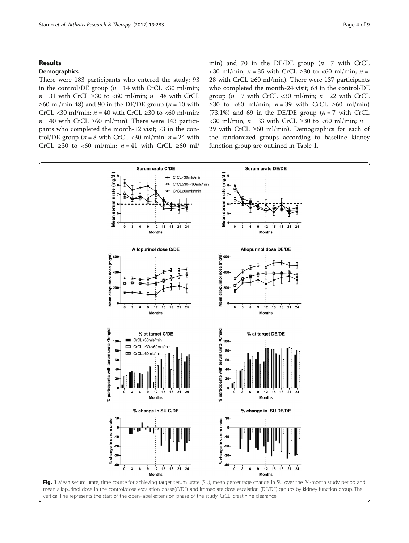## <span id="page-3-0"></span>Results

## Demographics

There were 183 participants who entered the study; 93 in the control/DE group ( $n = 14$  with CrCL <30 ml/min;  $n = 31$  with CrCL ≥30 to <60 ml/min;  $n = 48$  with CrCL ≥60 ml/min 48) and 90 in the DE/DE group ( $n = 10$  with CrCL <30 ml/min;  $n = 40$  with CrCL ≥30 to <60 ml/min;  $n = 40$  with CrCL ≥60 ml/min). There were 143 participants who completed the month-12 visit; 73 in the control/DE group ( $n = 8$  with CrCL <30 ml/min;  $n = 24$  with CrCL  $\geq 30$  to <60 ml/min;  $n = 41$  with CrCL  $\geq 60$  ml/ min) and 70 in the DE/DE group  $(n = 7$  with CrCL <30 ml/min;  $n = 35$  with CrCL ≥30 to <60 ml/min;  $n =$ 28 with CrCL ≥60 ml/min). There were 137 participants who completed the month-24 visit; 68 in the control/DE group ( $n = 7$  with CrCL <30 ml/min;  $n = 22$  with CrCL ≥30 to <60 ml/min;  $n = 39$  with CrCL ≥60 ml/min) (73.1%) and 69 in the DE/DE group  $(n = 7 \text{ with } CrCL$  $\langle$  <30 ml/min; *n* = 33 with CrCL ≥30 to  $\langle$  60 ml/min; *n* = 29 with CrCL ≥60 ml/min). Demographics for each of the randomized groups according to baseline kidney function group are outlined in Table [1.](#page-2-0)



mean allopurinol dose in the control/dose escalation phase(C/DE) and immediate dose escalation (DE/DE) groups by kidney function group. The vertical line represents the start of the open-label extension phase of the study. CrCL, creatinine clearance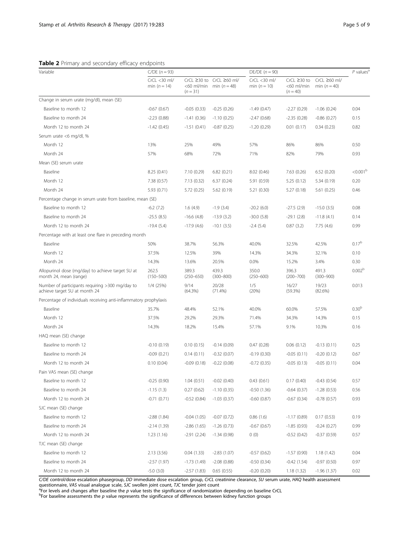## <span id="page-4-0"></span>Table 2 Primary and secondary efficacy endpoints

| Variable                                                                         | $C/DE (n = 93)$                |                        |                                                         | DE/DE $(n = 90)$               |                                              |                                     | $P$ values <sup>a</sup> |
|----------------------------------------------------------------------------------|--------------------------------|------------------------|---------------------------------------------------------|--------------------------------|----------------------------------------------|-------------------------------------|-------------------------|
|                                                                                  | CrCL <30 ml/<br>min $(n = 14)$ | $(n = 31)$             | CrCL ≥30 to CrCL ≥60 ml/<br><60 ml/min min ( $n = 48$ ) | CrCL <30 ml/<br>min $(n = 10)$ | $CrCL \ge 30$ to<br><60 ml/min<br>$(n = 40)$ | $CrCL \ge 60$ ml/<br>min $(n = 40)$ |                         |
| Change in serum urate (mg/dl), mean (SE)                                         |                                |                        |                                                         |                                |                                              |                                     |                         |
| Baseline to month 12                                                             | $-0.67(0.67)$                  | $-0.05(0.33)$          | $-0.25(0.26)$                                           | $-1.49(0.47)$                  | $-2.27(0.29)$                                | $-1.06(0.24)$                       | 0.04                    |
| Baseline to month 24                                                             | $-2.23(0.88)$                  | $-1.41(0.36)$          | $-1.10(0.25)$                                           | $-2.47(0.68)$                  | $-2.35(0.28)$                                | $-0.86(0.27)$                       | 0.15                    |
| Month 12 to month 24                                                             | $-1.42(0.45)$                  | $-1.51(0.41)$          | $-0.87(0.25)$                                           | $-1.20(0.29)$                  | 0.01(0.17)                                   | 0.34(0.23)                          | 0.82                    |
| Serum urate <6 mg/dl, %                                                          |                                |                        |                                                         |                                |                                              |                                     |                         |
| Month 12                                                                         | 13%                            | 25%                    | 49%                                                     | 57%                            | 86%                                          | 86%                                 | 0.50                    |
| Month 24                                                                         | 57%                            | 68%                    | 72%                                                     | 71%                            | 82%                                          | 79%                                 | 0.93                    |
| Mean (SE) serum urate                                                            |                                |                        |                                                         |                                |                                              |                                     |                         |
| Baseline                                                                         | 8.25(0.41)                     | 7.10 (0.29)            | 6.82(0.21)                                              | 8.02 (0.46)                    | 7.63 (0.26)                                  | 6.52(0.20)                          | < 0.001 <sup>b</sup>    |
| Month 12                                                                         | 7.38 (0.57)                    | 7.13 (0.32)            | 6.37(0.24)                                              | 5.91 (0.59)                    | 5.25(0.12)                                   | 5.34 (0.19)                         | 0.20                    |
| Month 24                                                                         | 5.93 (0.71)                    | 5.72(0.25)             | 5.62(0.19)                                              | 5.21 (0.30)                    | 5.27(0.18)                                   | 5.61(0.25)                          | 0.46                    |
| Percentage change in serum urate from baseline, mean (SE)                        |                                |                        |                                                         |                                |                                              |                                     |                         |
| Baseline to month 12                                                             | $-6.2(7.2)$                    | 1.6(4.9)               | $-1.9(3.4)$                                             | $-20.2(6.0)$                   | $-27.5(2.9)$                                 | $-15.0(3.5)$                        | 0.08                    |
| Baseline to month 24                                                             | $-25.5(8.5)$                   | $-16.6(4.8)$           | $-13.9(3.2)$                                            | $-30.0(5.8)$                   | $-29.1(2.8)$                                 | $-11.8(4.1)$                        | 0.14                    |
| Month 12 to month 24                                                             | $-19.4(5.4)$                   | $-17.9(4.6)$           | $-10.1(3.5)$                                            | $-2.4(5.4)$                    | 0.87(3.2)                                    | 7.75(4.6)                           | 0.99                    |
| Percentage with at least one flare in preceding month                            |                                |                        |                                                         |                                |                                              |                                     |                         |
| Baseline                                                                         | 50%                            | 38.7%                  | 56.3%                                                   | 40.0%                          | 32.5%                                        | 42.5%                               | $0.17^{b}$              |
| Month 12                                                                         | 37.5%                          | 12.5%                  | 39%                                                     | 14.3%                          | 34.3%                                        | 32.1%                               | 0.10                    |
| Month 24                                                                         | 14.3%                          | 13.6%                  | 20.5%                                                   | 0.0%                           | 15.2%                                        | 3.4%                                | 0.30                    |
| Allopurinol dose (mg/day) to achieve target SU at<br>month 24, mean (range)      | 262.5<br>$(150 - 500)$         | 389.3<br>$(250 - 650)$ | 439.3<br>$(300 - 800)$                                  | 350.0<br>$(250 - 600)$         | 396.3<br>$(200 - 700)$                       | 491.3<br>$(300 - 900)$              | 0.002 <sup>b</sup>      |
| Number of participants requiring >300 mg/day to<br>achieve target SU at month 24 | 1/4 (25%)                      | 9/14<br>(64.3%)        | 20/28<br>$(71.4\%)$                                     | 1/5<br>(20%)                   | 16/27<br>(59.3%)                             | 19/23<br>(82.6%)                    | 0.013                   |
| Percentage of individuals receiving anti-inflammatory prophylaxis                |                                |                        |                                                         |                                |                                              |                                     |                         |
| Baseline                                                                         | 35.7%                          | 48.4%                  | 52.1%                                                   | 40.0%                          | 60.0%                                        | 57.5%                               | 0.30 <sup>b</sup>       |
| Month 12                                                                         | 37.5%                          | 29.2%                  | 29.3%                                                   | 71.4%                          | 34.3%                                        | 14.3%                               | 0.15                    |
| Month 24                                                                         | 14.3%                          | 18.2%                  | 15.4%                                                   | 57.1%                          | 9.1%                                         | 10.3%                               | 0.16                    |
| HAQ mean (SE) change                                                             |                                |                        |                                                         |                                |                                              |                                     |                         |
| Baseline to month 12                                                             | $-0.10(0.19)$                  | 0.10(0.15)             | $-0.14(0.09)$                                           | 0.47(0.28)                     | 0.06(0.12)                                   | $-0.13(0.11)$                       | 0.25                    |
| Baseline to month 24                                                             | $-0.09(0.21)$                  | 0.14(0.11)             | $-0.32(0.07)$                                           | $-0.19(0.30)$                  | $-0.05(0.11)$                                | $-0.20(0.12)$                       | 0.67                    |
| Month 12 to month 24                                                             | 0.10(0.04)                     | $-0.09(0.18)$          | $-0.22(0.08)$                                           | $-0.72(0.35)$                  | $-0.05(0.13)$                                | $-0.05(0.11)$                       | 0.04                    |
| Pain VAS mean (SE) change                                                        |                                |                        |                                                         |                                |                                              |                                     |                         |
| Baseline to month 12                                                             | $-0.25(0.90)$                  | 1.04(0.51)             | $-0.02$ $(0.40)$                                        | 0.43(0.61)                     | 0.17(0.40)                                   | $-0.43(0.54)$                       | 0.57                    |
| Baseline to month 24                                                             | $-1.15(1.3)$                   | 0.27(0.62)             | $-1.10(0.35)$                                           | $-0.50(1.36)$                  | $-0.64(0.37)$                                | $-1.28(0.53)$                       | 0.56                    |
| Month 12 to month 24                                                             | $-0.71(0.71)$                  | $-0.52(0.84)$          | $-1.03(0.37)$                                           | $-0.60(0.87)$                  | $-0.67(0.34)$                                | $-0.78(0.57)$                       | 0.93                    |
| SJC mean (SE) change                                                             |                                |                        |                                                         |                                |                                              |                                     |                         |
| Baseline to month 12                                                             | $-2.88(1.84)$                  | $-0.04(1.05)$          | $-0.07(0.72)$                                           | 0.86(1.6)                      | $-1.17(0.89)$                                | 0.17(0.53)                          | 0.19                    |
| Baseline to month 24                                                             | $-2.14(1.39)$                  | $-2.86(1.65)$          | $-1.26(0.73)$                                           | $-0.67(0.67)$                  | $-1.85(0.93)$                                | $-0.24(0.27)$                       | 0.99                    |
| Month 12 to month 24                                                             | 1.23(1.16)                     | $-2.91(2.24)$          | $-1.34(0.98)$                                           | 0(0)                           | $-0.52(0.42)$                                | $-0.37(0.59)$                       | 0.57                    |
| TJC mean (SE) change                                                             |                                |                        |                                                         |                                |                                              |                                     |                         |
| Baseline to month 12                                                             | 2.13(3.56)                     | 0.04(1.33)             | $-2.83(1.07)$                                           | $-0.57(0.62)$                  | $-1.57(0.90)$                                | 1.18(1.42)                          | 0.04                    |
| Baseline to month 24                                                             | $-2.57(1.97)$                  | $-1.73(1.49)$          | $-2.08(0.88)$                                           | $-0.50(0.34)$                  | $-0.42(1.54)$                                | $-0.97(0.50)$                       | 0.97                    |
| Month 12 to month 24                                                             | $-5.0$ (3.0)                   | $-2.57(1.83)$          | 0.65(0.55)                                              | $-0.20(0.20)$                  | 1.18(1.32)                                   | $-1.96(1.37)$                       | 0.02                    |

C/DE control/dose escalation phasegroup, DD immediate dose escalation group, CrCL creatinine clearance, SU serum urate, HAQ health assessment

questionnaire, VAS visual analogue scale, SJC swollen joint count, TJC tender joint count<br><sup>ap</sup>or levels and changes after baseline the n value tests the significance of randomizatio

<sup>a</sup>For levels and changes after baseline the *p* value tests the significance of randomization depending on baseline CrCL<br><sup>b</sup>For baseline assessments the *p* value represents the significance of differences between kidney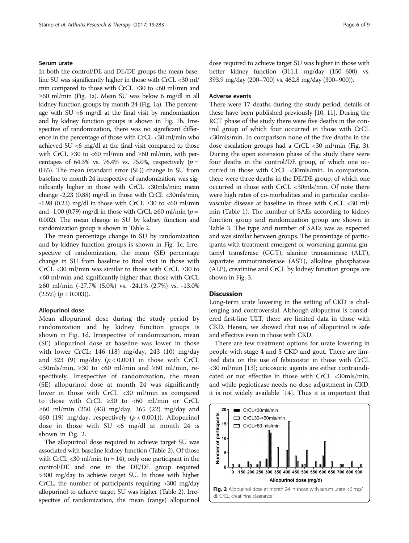## Serum urate

In both the control/DE and DE/DE groups the mean baseline SU was significantly higher in those with CrCL <30 ml/ min compared to those with CrCL  $\geq 30$  to  $\lt 60$  ml/min and ≥60 ml/min (Fig. [1a\)](#page-3-0). Mean SU was below 6 mg/dl in all kidney function groups by month 24 (Fig. [1a\)](#page-3-0). The percentage with SU <6 mg/dl at the final visit by randomization and by kidney function groups is shown in Fig. [1b](#page-3-0). Irrespective of randomization, there was no significant difference in the percentage of those with CrCL <30 ml/min who achieved SU <6 mg/dl at the final visit compared to those with CrCL ≥30 to <60 ml/min and ≥60 ml/min, with percentages of 64.3% vs. 76.4% vs. 75.0%, respectively  $(p =$ 0.65). The mean (standard error (SE)) change in SU from baseline to month 24 irrespective of randomization, was significantly higher in those with CrCL <30mls/min; mean change -2.23 (0.88) mg/dl in those with CrCL <30mls/min, -1.98 (0.23) mg/dl in those with CrCL  $\geq 30$  to <60 ml/min and -1.00 (0.79) mg/dl in those with CrCL ≥60 ml/min ( $p =$ 0.002). The mean change in SU by kidney function and randomization group is shown in Table [2.](#page-4-0)

The mean percentage change in SU by randomization and by kidney function groups is shown in Fig. [1c](#page-3-0). Irrespective of randomization, the mean (SE) percentage change in SU from baseline to final visit in those with CrCL <30 ml/min was similar to those with CrCL ≥30 to <60 ml/min and significantly higher than those with CrCL ≥60 ml/min (-27.7% (5.0%) vs. -24.1% (2.7%) vs. -13.0%  $(2.5\%)$   $(p = 0.003)$ .

#### Allopurinol dose

Mean allopurinol dose during the study period by randomization and by kidney function groups is shown in Fig. [1d](#page-3-0). Irrespective of randomization, mean (SE) allopurinol dose at baseline was lower in those with lower CrCL; 146 (18) mg/day, 243 (10) mg/day and 323 (9) mg/day  $(p < 0.001)$  in those with CrCL  $<30$ mls/min,  $\geq30$  to  $<60$  ml/min and  $\geq60$  ml/min, respectively. Irrespective of randomization, the mean (SE) allopurinol dose at month 24 was significantly lower in those with CrCL <30 ml/min as compared to those with CrCL ≥30 to <60 ml/min or CrCL ≥60 ml/min (250 (43) mg/day, 365 (22) mg/day and 460 (19) mg/day, respectively  $(p < 0.001)$ ). Allopurinol dose in those with SU <6 mg/dl at month 24 is shown in Fig. 2.

The allopurinol dose required to achieve target SU was associated with baseline kidney function (Table [2\)](#page-4-0). Of those with CrCL  $<30$  ml/min (n = 14), only one participant in the control/DE and one in the DE/DE group required >300 mg/day to achieve target SU. In those with higher CrCL, the number of participants requiring >300 mg/day allopurinol to achieve target SU was higher (Table [2](#page-4-0)). Irrespective of randomization, the mean (range) allopurinol dose required to achieve target SU was higher in those with better kidney function (311.1 mg/day (150–600) vs. 393.9 mg/day (200–700) vs. 462.8 mg/day (300–900)).

## Adverse events

There were 17 deaths during the study period, details of these have been published previously [\[10, 11\]](#page-8-0). During the RCT phase of the study there were five deaths in the control group of which four occurred in those with CrCL <30mls/min. In comparison none of the five deaths in the dose escalation groups had a CrCL <30 ml/min (Fig. [3](#page-6-0)). During the open extension phase of the study there were four deaths in the control/DE group, of which one occurred in those with CrCL <30mls/min. In comparison, there were three deaths in the DE/DE group, of which one occurred in those with CrCL <30mls/min. Of note there were high rates of co-morbidities and in particular cardiovascular disease at baseline in those with CrCL <30 ml/ min (Table [1\)](#page-2-0). The number of SAEs according to kidney function group and randomization group are shown in Table [3](#page-7-0). The type and number of SAEs was as expected and was similar between groups. The percentage of participants with treatment emergent or worsening gamma glutamyl transferase (GGT), alanine transaminase (ALT), aspartate aminotransferase (AST), alkaline phosphatase (ALP), creatinine and CrCL by kidney function groups are shown in Fig. [3](#page-6-0).

## **Discussion**

Long-term urate lowering in the setting of CKD is challenging and controversial. Although allopurinol is considered first-line ULT, there are limited data in those with CKD. Herein, we showed that use of allopurinol is safe and effective even in those with CKD.

There are few treatment options for urate lowering in people with stage 4 and 5 CKD and gout. There are limited data on the use of febuxostat in those with CrCL <30 ml/min [[13\]](#page-8-0); uricosuric agents are either contraindicated or not effective in those with CrCL <30mls/min, and while pegloticase needs no dose adjustment in CKD, it is not widely available [[14\]](#page-8-0). Thus it is important that

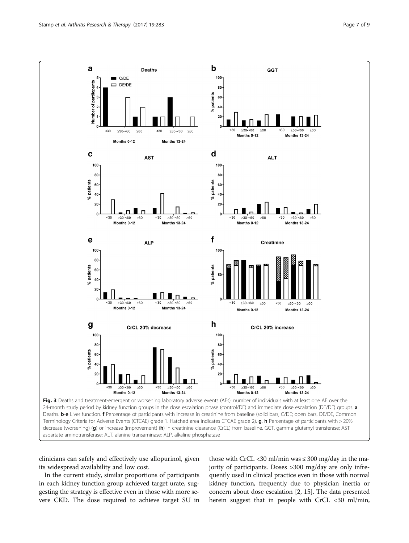<span id="page-6-0"></span>

clinicians can safely and effectively use allopurinol, given its widespread availability and low cost.

In the current study, similar proportions of participants in each kidney function group achieved target urate, suggesting the strategy is effective even in those with more severe CKD. The dose required to achieve target SU in

those with CrCL <30 ml/min was  $\leq$  300 mg/day in the majority of participants. Doses >300 mg/day are only infrequently used in clinical practice even in those with normal kidney function, frequently due to physician inertia or concern about dose escalation [[2](#page-8-0), [15](#page-8-0)]. The data presented herein suggest that in people with CrCL <30 ml/min,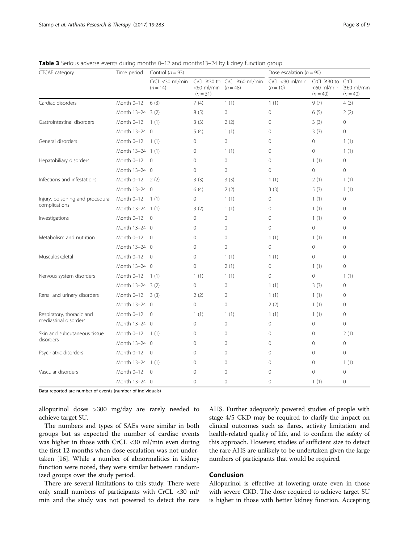| CTCAE category                            | Time period        | Control ( $n = 93$ )          |                                   |                             | Dose escalation ( $n = 90$ )     |                                                  |                                        |
|-------------------------------------------|--------------------|-------------------------------|-----------------------------------|-----------------------------|----------------------------------|--------------------------------------------------|----------------------------------------|
|                                           |                    | CrCL <30 ml/min<br>$(n = 14)$ | <60 ml/min $(n = 48)$<br>$(n=31)$ | CrCL ≥30 to CrCL ≥60 ml/min | $CrCL < 30$ ml/min<br>$(n = 10)$ | $CrCL \geq 30$ to<br>$<$ 60 ml/min<br>$(n = 40)$ | CrCL<br>$\geq 60$ ml/min<br>$(n = 40)$ |
| Cardiac disorders                         | Month 0-12         | 6(3)                          | 7(4)                              | 1(1)                        | 1(1)                             | 9(7)                                             | 4(3)                                   |
|                                           | Month 13-24 3 (2)  |                               | 8(5)                              | 0                           | 0                                | 6(5)                                             | 2(2)                                   |
| Gastrointestinal disorders                | Month 0-12         | 1(1)                          | 3(3)                              | 2(2)                        | 0                                | 3(3)                                             | 0                                      |
|                                           | Month 13-24 0      |                               | 5(4)                              | 1(1)                        | 0                                | 3(3)                                             | $\circ$                                |
| General disorders                         | Month 0-12         | 1(1)                          | $\mathbf{0}$                      | 0                           | 0                                | $\Omega$                                         | 1(1)                                   |
|                                           | Month 13-24 1 (1)  |                               | $\mathbf{0}$                      | 1(1)                        | 0                                | $\circ$                                          | 1(1)                                   |
| Hepatobiliary disorders                   | Month 0-12         | $\overline{0}$                | $\mathbf 0$                       | $\mathbf 0$                 | $\mathbf 0$                      | 1(1)                                             | $\mathbf 0$                            |
|                                           | Month 13-24 0      |                               | $\mathbf 0$                       | $\overline{0}$              | 0                                | $\circ$                                          | $\overline{0}$                         |
| Infections and infestations               | Month 0-12         | 2(2)                          | 3(3)                              | 3(3)                        | 1(1)                             | 2(1)                                             | 1(1)                                   |
|                                           | Month 13-24 0      |                               | 6(4)                              | 2(2)                        | 3(3)                             | 5(3)                                             | 1(1)                                   |
| Injury, poisoning and procedural          | Month 0-12         | 1(1)                          | $\mathbf 0$                       | 1(1)                        | 0                                | 1(1)                                             | $\circ$                                |
| complications                             | Month 13-24 1 (1)  |                               | 3(2)                              | 1(1)                        | 0                                | 1(1)                                             | $\Omega$                               |
| Investigations                            | Month 0-12         | $\overline{0}$                | $\mathbf{0}$                      | 0                           | 0                                | 1(1)                                             | 0                                      |
|                                           | Month 13-24 0      |                               | $\mathbf{0}$                      | $\mathbf 0$                 | 0                                | 0                                                | 0                                      |
| Metabolism and nutrition                  | Month 0-12         | $\Omega$                      | $\mathbf 0$                       | $\mathbf 0$                 | 1(1)                             | 1(1)                                             | $\mathbf{0}$                           |
|                                           | Month 13-24 0      |                               | $\mathbf{0}$                      | $\mathbf 0$                 | 0                                | 0                                                | $\circ$                                |
| Musculoskeletal                           | Month 0-12         | $\Omega$                      | $\mathbf{0}$                      | 1(1)                        | 1(1)                             | 0                                                | 0                                      |
|                                           | Month 13-24 0      |                               | $\mathbf 0$                       | 2(1)                        | 0                                | 1(1)                                             | $\Omega$                               |
| Nervous system disorders                  | Month 0-12         | 1(1)                          | 1(1)                              | 1(1)                        | $\mathbf 0$                      | 0                                                | 1(1)                                   |
|                                           | Month 13-24 3 (2)  |                               | $\mathbf 0$                       | 0                           | 1(1)                             | 3(3)                                             | 0                                      |
| Renal and urinary disorders               | Month $0-12$ 3 (3) |                               | 2(2)                              | 0                           | 1(1)                             | 1(1)                                             | $\circ$                                |
|                                           | Month 13-24 0      |                               | $\overline{0}$                    | $\mathbf 0$                 | 2(2)                             | 1(1)                                             | $\circ$                                |
| Respiratory, thoracic and                 | Month 0-12         | $\Omega$                      | 1(1)                              | 1(1)                        | 1(1)                             | 1(1)                                             | $\circ$                                |
| mediastinal disorders                     | Month 13-24 0      |                               | $\mathbf{0}$                      | 0                           | 0                                | $\circ$                                          | $\circ$                                |
| Skin and subcutaneous tissue<br>disorders | Month 0-12         | 1(1)                          | $\Omega$                          | 0                           | 0                                | $\Omega$                                         | 2(1)                                   |
|                                           | Month 13-24 0      |                               | $\Omega$                          | $\mathbf 0$                 | 0                                | $\Omega$                                         | $\mathbf 0$                            |
| Psychiatric disorders                     | Month 0-12         | $\overline{0}$                | $\mathbf 0$                       | $\mathbf 0$                 | $\mathbf 0$                      | $\circ$                                          | $\mathbf{0}$                           |
|                                           | Month 13-24 1 (1)  |                               | $\mathbf 0$                       | $\mathbf 0$                 | 0                                | $\circ$                                          | 1(1)                                   |
| Vascular disorders                        | Month 0-12         | 0                             | $\overline{0}$                    | $\mathbf 0$                 | 0                                | $\Omega$                                         | $\mathbf{0}$                           |
|                                           | Month 13-24 0      |                               | $\Omega$                          | $\mathbf 0$                 | 0                                | 1(1)                                             | $\circ$                                |

<span id="page-7-0"></span>Table 3 Serious adverse events during months 0-12 and months13-24 by kidney function group

Data reported are number of events (number of individuals)

allopurinol doses >300 mg/day are rarely needed to achieve target SU.

The numbers and types of SAEs were similar in both groups but as expected the number of cardiac events was higher in those with CrCL <30 ml/min even during the first 12 months when dose escalation was not undertaken [\[16](#page-8-0)]. While a number of abnormalities in kidney function were noted, they were similar between randomized groups over the study period.

There are several limitations to this study. There were only small numbers of participants with CrCL <30 ml/ min and the study was not powered to detect the rare AHS. Further adequately powered studies of people with stage 4/5 CKD may be required to clarify the impact on clinical outcomes such as flares, activity limitation and health-related quality of life, and to confirm the safety of this approach. However, studies of sufficient size to detect the rare AHS are unlikely to be undertaken given the large numbers of participants that would be required.

## Conclusion

Allopurinol is effective at lowering urate even in those with severe CKD. The dose required to achieve target SU is higher in those with better kidney function. Accepting